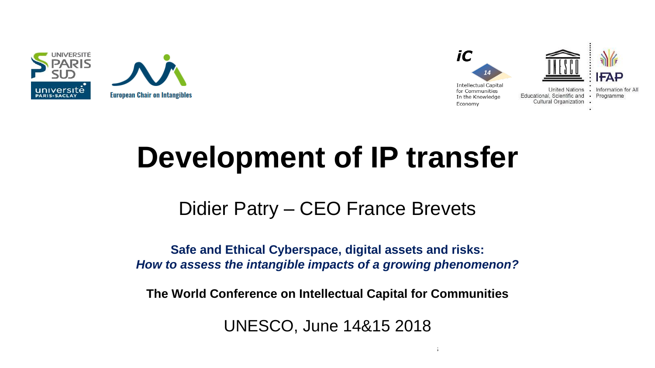



#### Didier Patry – CEO France Brevets

**Safe and Ethical Cyberspace, digital assets and risks:**  *How to assess the intangible impacts of a growing phenomenon?*

**The World Conference on Intellectual Capital for Communities**

UNESCO, June 14&15 2018

 $14\pm 15$ th June 2018 The World Conference on Intellectual Capital for Communities on Intellectual for Communities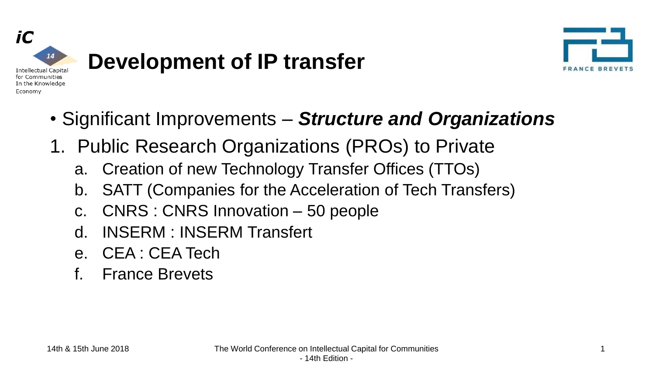



- Significant Improvements *Structure and Organizations*
- 1. Public Research Organizations (PROs) to Private
	- a. Creation of new Technology Transfer Offices (TTOs)
	- b. SATT (Companies for the Acceleration of Tech Transfers)
	- c. CNRS : CNRS Innovation 50 people
	- INSERM : INSERM Transfert
	- e. CEA : CEA Tech
	- **France Brevets**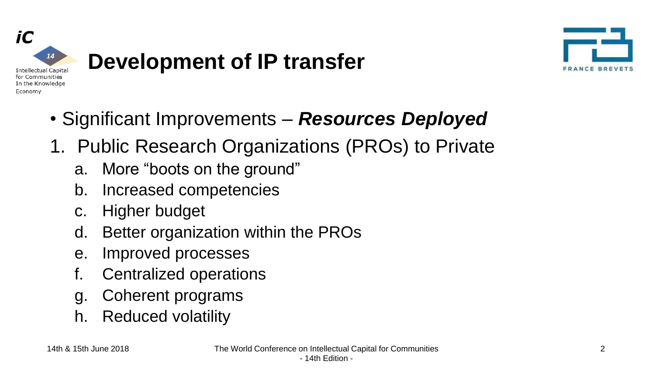



- Significant Improvements *Resources Deployed*
- 1. Public Research Organizations (PROs) to Private
	- a. More "boots on the ground"
	- b. Increased competencies
	- c. Higher budget
	- d. Better organization within the PROs
	- e. Improved processes
	- f. Centralized operations
	- g. Coherent programs
	- h. Reduced volatility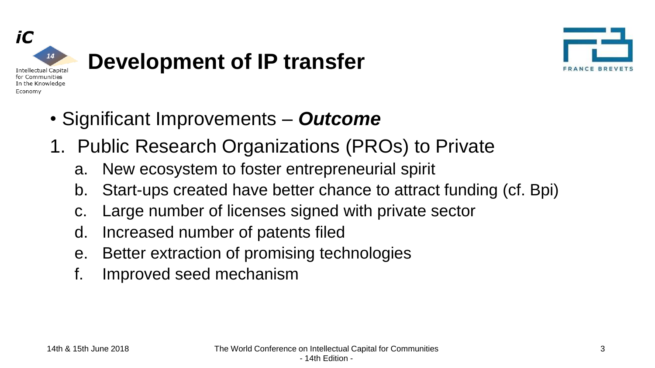



- Significant Improvements *Outcome*
- 1. Public Research Organizations (PROs) to Private
	- a. New ecosystem to foster entrepreneurial spirit
	- b. Start-ups created have better chance to attract funding (cf. Bpi)
	- c. Large number of licenses signed with private sector
	- d. Increased number of patents filed
	- e. Better extraction of promising technologies
	- f. Improved seed mechanism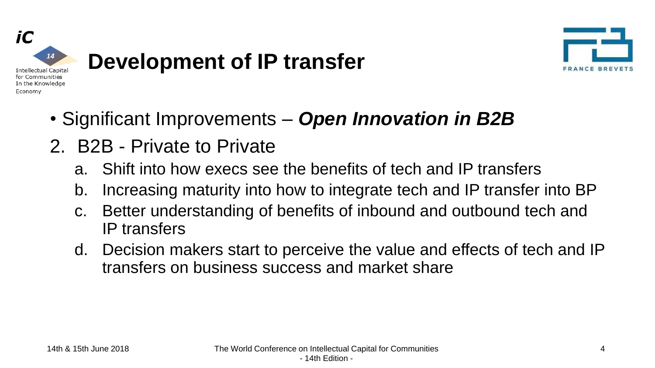



- Significant Improvements *Open Innovation in B2B*
- 2. B2B Private to Private
	- a. Shift into how execs see the benefits of tech and IP transfers
	- b. Increasing maturity into how to integrate tech and IP transfer into BP
	- Better understanding of benefits of inbound and outbound tech and IP transfers
	- d. Decision makers start to perceive the value and effects of tech and IP transfers on business success and market share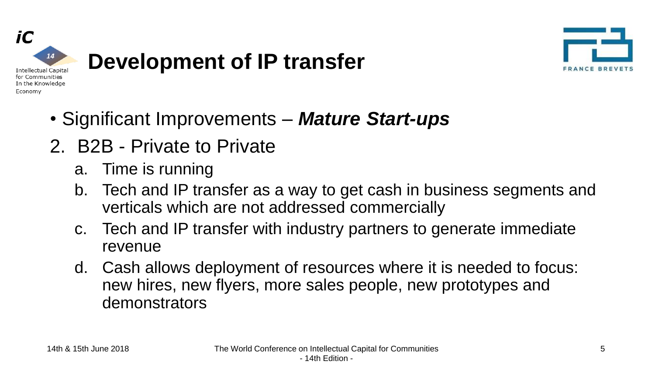



- Significant Improvements *Mature Start-ups*
- 2. B2B Private to Private
	- a. Time is running
	- b. Tech and IP transfer as a way to get cash in business segments and verticals which are not addressed commercially
	- c. Tech and IP transfer with industry partners to generate immediate revenue
	- d. Cash allows deployment of resources where it is needed to focus: new hires, new flyers, more sales people, new prototypes and demonstrators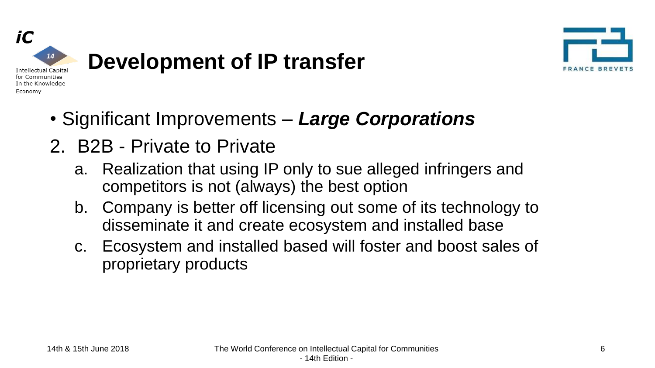



• Significant Improvements – *Large Corporations*

#### 2. B2B - Private to Private

- a. Realization that using IP only to sue alleged infringers and competitors is not (always) the best option
- b. Company is better off licensing out some of its technology to disseminate it and create ecosystem and installed base
- c. Ecosystem and installed based will foster and boost sales of proprietary products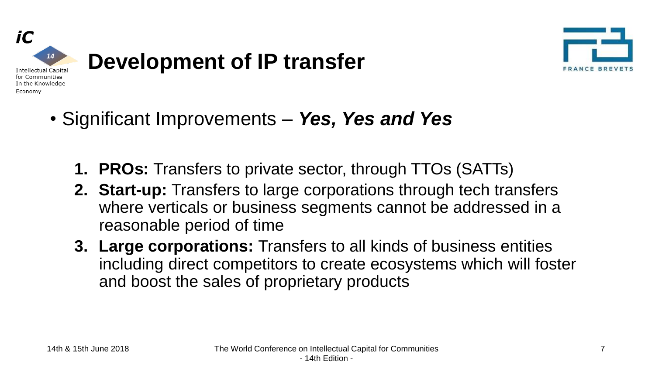



- Significant Improvements *Yes, Yes and Yes*
	- **1. PROs:** Transfers to private sector, through TTOs (SATTs)
	- **2. Start-up:** Transfers to large corporations through tech transfers where verticals or business segments cannot be addressed in a reasonable period of time
	- **3. Large corporations:** Transfers to all kinds of business entities including direct competitors to create ecosystems which will foster and boost the sales of proprietary products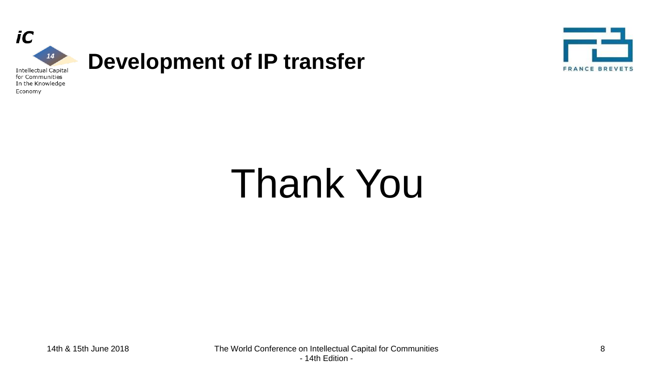

Economy



# Thank You